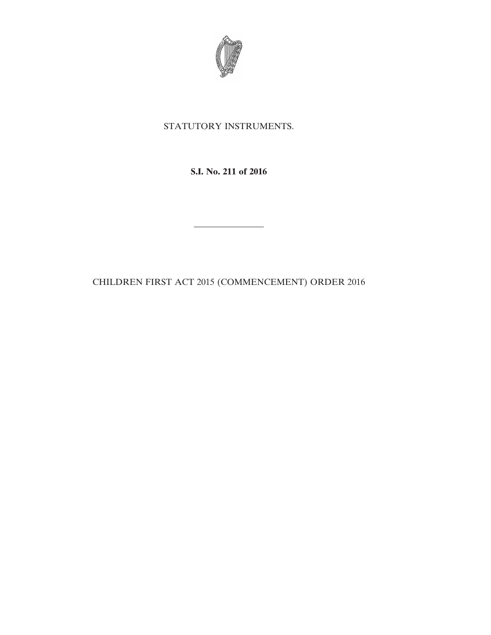

## STATUTORY INSTRUMENTS.

**S.I. No. 211 of 2016**

————————

CHILDREN FIRST ACT 2015 (COMMENCEMENT) ORDER 2016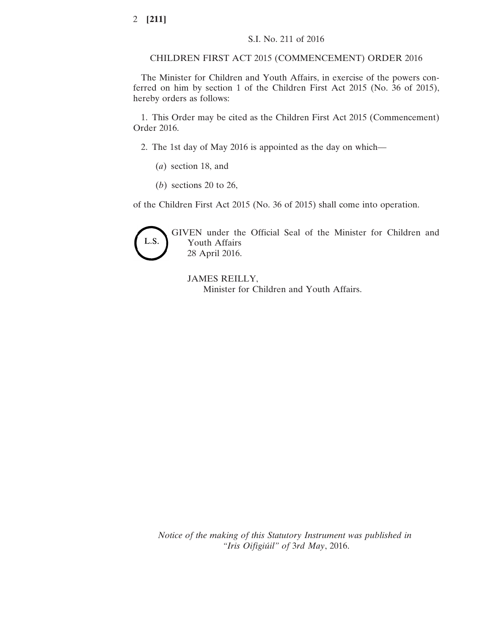CHILDREN FIRST ACT 2015 (COMMENCEMENT) ORDER 2016

The Minister for Children and Youth Affairs, in exercise of the powers conferred on him by section 1 of the Children First Act 2015 (No. 36 of 2015), hereby orders as follows:

1. This Order may be cited as the Children First Act 2015 (Commencement) Order 2016.

2. The 1st day of May 2016 is appointed as the day on which—

(*a*) section 18, and

(*b*) sections 20 to 26,

of the Children First Act 2015 (No. 36 of 2015) shall come into operation.



GIVEN under the Official Seal of the Minister for Children and Youth Affairs 28 April 2016.

JAMES REILLY, Minister for Children and Youth Affairs.

*Notice of the making of this Statutory Instrument was published in "Iris Oifigiúil" of* 3*rd May*, 2016.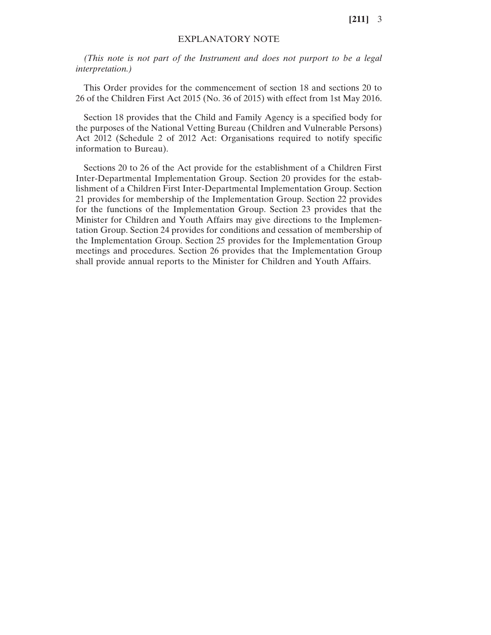**[211]** 3

## EXPLANATORY NOTE

*(This note is not part of the Instrument and does not purport to be a legal interpretation.)*

This Order provides for the commencement of section 18 and sections 20 to 26 of the Children First Act 2015 (No. 36 of 2015) with effect from 1st May 2016.

Section 18 provides that the Child and Family Agency is a specified body for the purposes of the National Vetting Bureau (Children and Vulnerable Persons) Act 2012 (Schedule 2 of 2012 Act: Organisations required to notify specific information to Bureau).

Sections 20 to 26 of the Act provide for the establishment of a Children First Inter-Departmental Implementation Group. Section 20 provides for the establishment of a Children First Inter-Departmental Implementation Group. Section 21 provides for membership of the Implementation Group. Section 22 provides for the functions of the Implementation Group. Section 23 provides that the Minister for Children and Youth Affairs may give directions to the Implementation Group. Section 24 provides for conditions and cessation of membership of the Implementation Group. Section 25 provides for the Implementation Group meetings and procedures. Section 26 provides that the Implementation Group shall provide annual reports to the Minister for Children and Youth Affairs.